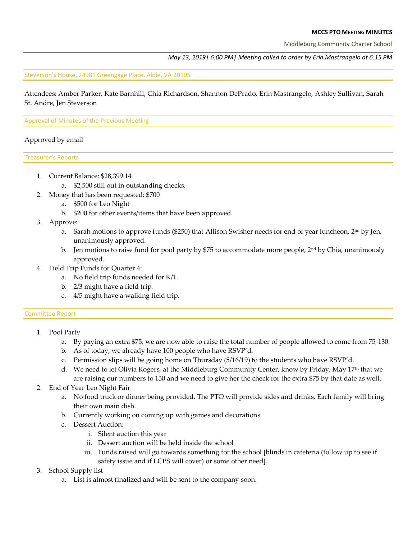#### **MCCS PTO MEETING MINUTES**

Middleburg Community Charter School

#### *May 13, 2019| 6:00 PM| Meeting called to order by Erin Mastrangelo at 6:15 PM*

Steverson's House, 24981 Greengage Place, Aldie, VA 20105

Attendees: Amber Parker, Kate Barnhill, Chia Richardson, Shannon DePrado, Erin Mastrangelo, Ashley Sullivan, Sarah St. Andre, Jen Steverson

#### Approval of Minutes of the Previous Meeting

#### Approved by email

Treasurer's Reports

- 1. Current Balance: \$28,399.14
	- a. \$2,500 still out in outstanding checks.
- 2. Money that has been requested: \$700
	- a. \$500 for Leo Night
	- b. \$200 for other events/items that have been approved.
- 3. Approve:
	- a. Sarah motions to approve funds (\$250) that Allison Swisher needs for end of year luncheon, 2<sup>nd</sup> by Jen, unanimously approved.
	- b. Jen motions to raise fund for pool party by \$75 to accommodate more people,  $2<sup>nd</sup>$  by Chia, unanimously approved.
- 4. Field Trip Funds for Quarter 4:
	- a. No field trip funds needed for K/1.
	- b. 2/3 might have a field trip.
	- c. 4/5 might have a walking field trip.

#### Committee Report

- 1. Pool Party
	- a. By paying an extra \$75, we are now able to raise the total number of people allowed to come from 75-130.
	- b. As of today, we already have 100 people who have RSVP'd.
	- c. Permission slips will be going home on Thursday (5/16/19) to the students who have RSVP'd.
	- d. We need to let Olivia Rogers, at the Middleburg Community Center, know by Friday, May 17<sup>th</sup> that we are raising our numbers to 130 and we need to give her the check for the extra \$75 by that date as well.
- 2. End of Year Leo Night Fair
	- a. No food truck or dinner being provided. The PTO will provide sides and drinks. Each family will bring their own main dish.
	- b. Currently working on coming up with games and decorations.
	- c. Dessert Auction:
		- i. Silent auction this year
		- ii. Dessert auction will be held inside the school
		- iii. Funds raised will go towards something for the school [blinds in cafeteria (follow up to see if safety issue and if LCPS will cover) or some other need].
- 3. School Supply list
	- a. List is almost finalized and will be sent to the company soon.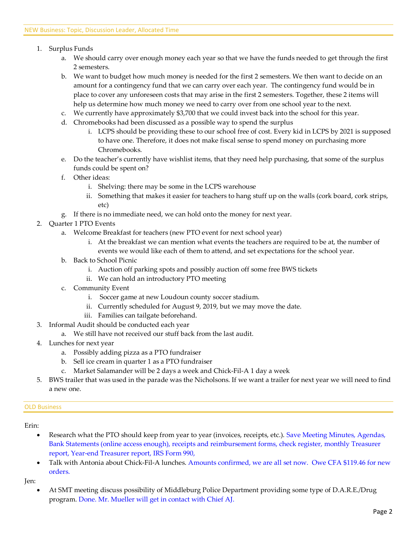- 1. Surplus Funds
	- a. We should carry over enough money each year so that we have the funds needed to get through the first 2 semesters.
	- b. We want to budget how much money is needed for the first 2 semesters. We then want to decide on an amount for a contingency fund that we can carry over each year. The contingency fund would be in place to cover any unforeseen costs that may arise in the first 2 semesters. Together, these 2 items will help us determine how much money we need to carry over from one school year to the next.
	- c. We currently have approximately \$3,700 that we could invest back into the school for this year.
	- d. Chromebooks had been discussed as a possible way to spend the surplus
		- i. LCPS should be providing these to our school free of cost. Every kid in LCPS by 2021 is supposed to have one. Therefore, it does not make fiscal sense to spend money on purchasing more Chromebooks.
	- e. Do the teacher's currently have wishlist items, that they need help purchasing, that some of the surplus funds could be spent on?
	- f. Other ideas:
		- i. Shelving: there may be some in the LCPS warehouse
		- ii. Something that makes it easier for teachers to hang stuff up on the walls (cork board, cork strips, etc)
	- g. If there is no immediate need, we can hold onto the money for next year.
- 2. Quarter 1 PTO Events
	- a. Welcome Breakfast for teachers (new PTO event for next school year)
		- i. At the breakfast we can mention what events the teachers are required to be at, the number of events we would like each of them to attend, and set expectations for the school year.
	- b. Back to School Picnic
		- i. Auction off parking spots and possibly auction off some free BWS tickets
		- ii. We can hold an introductory PTO meeting
	- c. Community Event
		- i. Soccer game at new Loudoun county soccer stadium.
		- ii. Currently scheduled for August 9, 2019, but we may move the date.
		- iii. Families can tailgate beforehand.
- 3. Informal Audit should be conducted each year
	- a. We still have not received our stuff back from the last audit.
- 4. Lunches for next year
	- a. Possibly adding pizza as a PTO fundraiser
	- b. Sell ice cream in quarter 1 as a PTO fundraiser
	- c. Market Salamander will be 2 days a week and Chick-Fil-A 1 day a week
- 5. BWS trailer that was used in the parade was the Nicholsons. If we want a trailer for next year we will need to find a new one.

#### OLD Business

- Research what the PTO should keep from year to year (invoices, receipts, etc.). Save Meeting Minutes, Agendas, Bank Statements (online access enough), receipts and reimbursement forms, check register, monthly Treasurer report, Year-end Treasurer report, IRS Form 990,
- Talk with Antonia about Chick-Fil-A lunches. Amounts confirmed, we are all set now. Owe CFA \$119.46 for new orders.

Jen:

• At SMT meeting discuss possibility of Middleburg Police Department providing some type of D.A.R.E./Drug program. Done. Mr. Mueller will get in contact with Chief AJ.

Erin: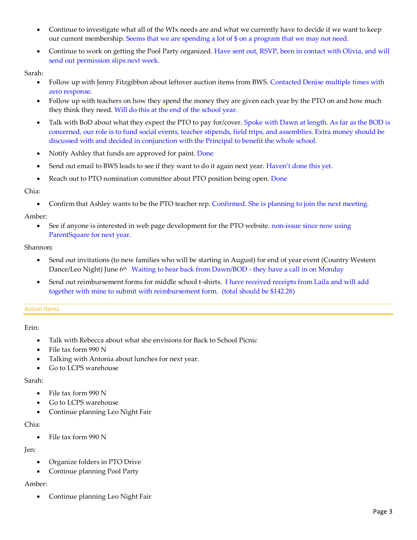- Continue to investigate what all of the WIx needs are and what we currently have to decide if we want to keep our current membership. Seems that we are spending a lot of \$ on a program that we may not need.
- Continue to work on getting the Pool Party organized. Have sent out, RSVP, been in contact with Olivia, and will send out permission slips next week.

### Sarah:

- Follow up with Jenny Fitzgibbon about leftover auction items from BWS. Contacted Denise multiple times with zero response.
- Follow up with teachers on how they spend the money they are given each year by the PTO on and how much they think they need. Will do this at the end of the school year.
- Talk with BoD about what they expect the PTO to pay for/cover. Spoke with Dawn at length. As far as the BOD is concerned, our role is to fund social events, teacher stipends, field trips, and assemblies. Extra money should be discussed with and decided in conjunction with the Principal to benefit the whole school.
- Notify Ashley that funds are approved for paint. Done
- Send out email to BWS leads to see if they want to do it again next year. Haven't done this yet.
- Reach out to PTO nomination committee about PTO position being open. Done

### Chia:

• Confirm that Ashley wants to be the PTO teacher rep. Confirmed. She is planning to join the next meeting.

## Amber:

• See if anyone is interested in web page development for the PTO website. non-issue since now using ParentSquare for next year.

### Shannon**:**

- Send out invitations (to new families who will be starting in August) for end of year event (Country Western Dance/Leo Night) June 6<sup>th</sup> Waiting to hear back from Dawn/BOD - they have a call in on Monday
- Send out reimbursement forms for middle school t-shirts. I have received receipts from Laila and will add together with mine to submit with reimbursement form. (total should be \$142.28)

#### Action Items

## Erin:

- Talk with Rebecca about what she envisions for Back to School Picnic
- File tax form 990 N
- Talking with Antonia about lunches for next year.
- Go to LCPS warehouse

## Sarah:

- File tax form 990 N
- Go to LCPS warehouse
- Continue planning Leo Night Fair

## Chia:

• File tax form 990 N

# Jen:

- Organize folders in PTO Drive
- Continue planning Pool Party

# Amber:

• Continue planning Leo Night Fair